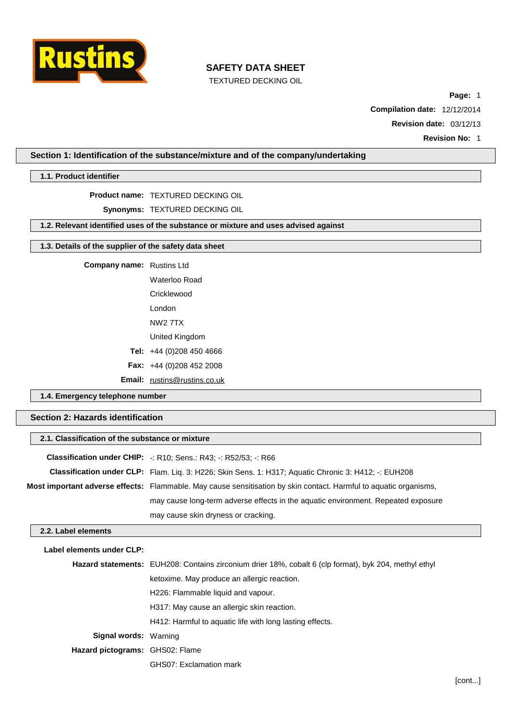

TEXTURED DECKING OIL

**Page:** 1

**Compilation date:** 12/12/2014

**Revision date:** 03/12/13

**Revision No:** 1

### **Section 1: Identification of the substance/mixture and of the company/undertaking**

#### **1.1. Product identifier**

#### **Product name:** TEXTURED DECKING OIL

**Synonyms:** TEXTURED DECKING OIL

### **1.2. Relevant identified uses of the substance or mixture and uses advised against**

# **1.3. Details of the supplier of the safety data sheet**

| <b>Company name:</b> Rustins Ltd |  |
|----------------------------------|--|
|----------------------------------|--|

Waterloo Road **Cricklewood** London NW2 7TX

- United Kingdom
- **Tel:** +44 (0)208 450 4666
- **Fax:** +44 (0)208 452 2008

**Email:** [rustins@rustins.co.uk](mailto:rustins@rustins.co.uk)

# **1.4. Emergency telephone number**

# **Section 2: Hazards identification**

|                           | 2.1. Classification of the substance or mixture                                                                          |  |  |  |  |
|---------------------------|--------------------------------------------------------------------------------------------------------------------------|--|--|--|--|
|                           | <b>Classification under CHIP:</b> $\div$ R10; Sens.: R43; $\div$ R52/53; $\div$ R66                                      |  |  |  |  |
|                           | <b>Classification under CLP:</b> Flam. Lig. 3: H226; Skin Sens. 1: H317; Aguatic Chronic 3: H412; -: EUH208              |  |  |  |  |
|                           | <b>Most important adverse effects:</b> Flammable. May cause sensitisation by skin contact. Harmful to aquatic organisms, |  |  |  |  |
|                           | may cause long-term adverse effects in the aquatic environment. Repeated exposure                                        |  |  |  |  |
|                           | may cause skin dryness or cracking.                                                                                      |  |  |  |  |
| 2.2. Label elements       |                                                                                                                          |  |  |  |  |
| Label elements under CLP: |                                                                                                                          |  |  |  |  |
|                           | <b>Hazard statements:</b> EUH208: Contains zirconium drier 18%, cobalt 6 (clp format), byk 204, methyl ethyl             |  |  |  |  |
|                           | ketoxime. May produce an allergic reaction.                                                                              |  |  |  |  |
|                           | H226: Flammable liquid and vapour.                                                                                       |  |  |  |  |
|                           | H317: May cause an allergic skin reaction.                                                                               |  |  |  |  |

H412: Harmful to aquatic life with long lasting effects.

**Signal words:** Warning

**Hazard pictograms:** GHS02: Flame

GHS07: Exclamation mark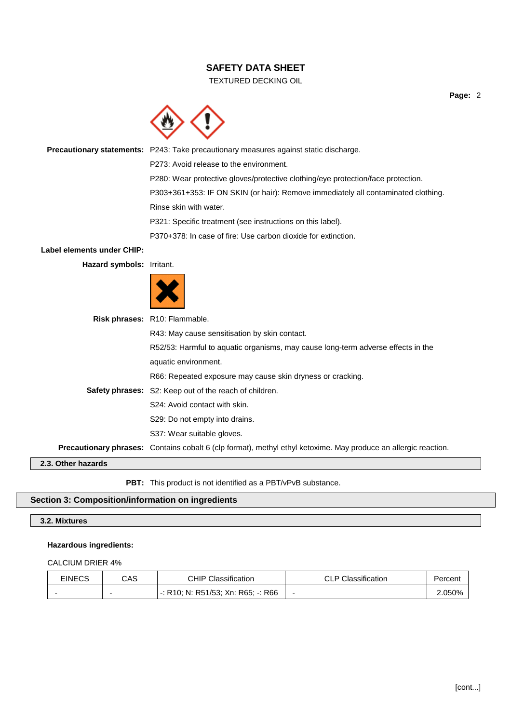### TEXTURED DECKING OIL

**Precautionary statements:** P243: Take precautionary measures against static discharge.

P273: Avoid release to the environment.

P280: Wear protective gloves/protective clothing/eye protection/face protection.

P303+361+353: IF ON SKIN (or hair): Remove immediately all contaminated clothing.

Rinse skin with water.

P321: Specific treatment (see instructions on this label).

P370+378: In case of fire: Use carbon dioxide for extinction.

### **Label elements under CHIP:**

**Hazard symbols:** Irritant.



| S37: Wear suitable gloves.                                                       |
|----------------------------------------------------------------------------------|
| S29: Do not empty into drains.                                                   |
| S24: Avoid contact with skin.                                                    |
| <b>Safety phrases:</b> S2: Keep out of the reach of children.                    |
| R66: Repeated exposure may cause skin dryness or cracking.                       |
| aquatic environment.                                                             |
| R52/53: Harmful to aquatic organisms, may cause long-term adverse effects in the |
| R43: May cause sensitisation by skin contact.                                    |
| Risk phrases: R10: Flammable.                                                    |

**PBT:** This product is not identified as a PBT/vPvB substance.

# **Section 3: Composition/information on ingredients**

### **3.2. Mixtures**

### **Hazardous ingredients:**

#### CALCIUM DRIER 4%

| <b>EINECS</b> | CAS | <b>CHIP Classification</b>         | <b>CLP Classification</b> | Percent |
|---------------|-----|------------------------------------|---------------------------|---------|
|               |     | -: R10; N: R51/53; Xn: R65; -: R66 |                           | 2.050%  |

**Page:** 2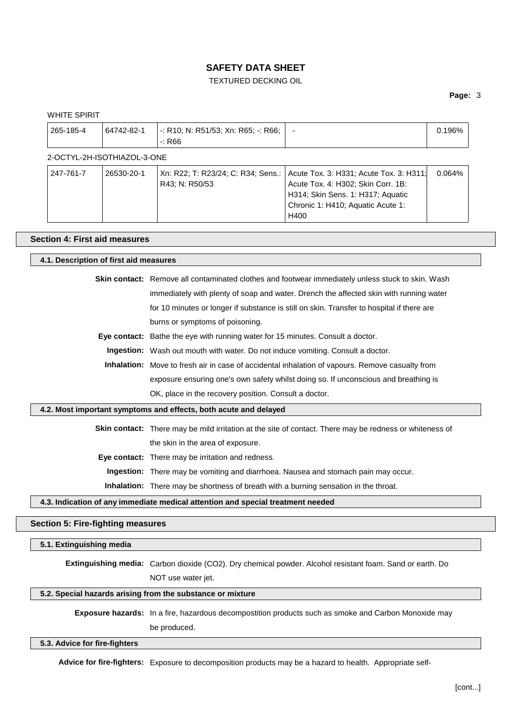# TEXTURED DECKING OIL

### **Page:** 3

|                             | $\div$ R66                                           |                                                                                                                                                                 |        |
|-----------------------------|------------------------------------------------------|-----------------------------------------------------------------------------------------------------------------------------------------------------------------|--------|
| 2-OCTYL-2H-ISOTHIAZOL-3-ONE |                                                      |                                                                                                                                                                 |        |
| 26530-20-1                  | Xn: R22; T: R23/24; C: R34; Sens.:<br>R43: N: R50/53 | Acute Tox. 3: H331; Acute Tox. 3: H311;<br>Acute Tox. 4: H302; Skin Corr. 1B:<br>H314; Skin Sens. 1: H317; Aquatic<br>Chronic 1: H410; Aquatic Acute 1:<br>H400 | 0.064% |
|                             | <b>Section 4: First aid measures</b>                 |                                                                                                                                                                 |        |

### **4.1. Description of first aid measures**

**Skin contact:** Remove all contaminated clothes and footwear immediately unless stuck to skin. Wash immediately with plenty of soap and water. Drench the affected skin with running water for 10 minutes or longer if substance is still on skin. Transfer to hospital if there are burns or symptoms of poisoning.

**Eye contact:** Bathe the eye with running water for 15 minutes. Consult a doctor.

**Ingestion:** Wash out mouth with water. Do not induce vomiting. Consult a doctor.

**Inhalation:** Move to fresh air in case of accidental inhalation of vapours. Remove casualty from exposure ensuring one's own safety whilst doing so. If unconscious and breathing is OK, place in the recovery position. Consult a doctor.

#### **4.2. Most important symptoms and effects, both acute and delayed**

**Skin contact:** There may be mild irritation at the site of contact. There may be redness or whiteness of the skin in the area of exposure.

**Eye contact:** There may be irritation and redness.

**Ingestion:** There may be vomiting and diarrhoea. Nausea and stomach pain may occur.

**Inhalation:** There may be shortness of breath with a burning sensation in the throat.

#### **4.3. Indication of any immediate medical attention and special treatment needed**

### **Section 5: Fire-fighting measures**

#### **5.1. Extinguishing media**

**Extinguishing media:** Carbon dioxide (CO2). Dry chemical powder. Alcohol resistant foam. Sand or earth. Do NOT use water jet.

#### **5.2. Special hazards arising from the substance or mixture**

**Exposure hazards:** In a fire, hazardous decompostition products such as smoke and Carbon Monoxide may be produced.

#### **5.3. Advice for fire-fighters**

**Advice for fire-fighters:** Exposure to decomposition products may be a hazard to health. Appropriate self-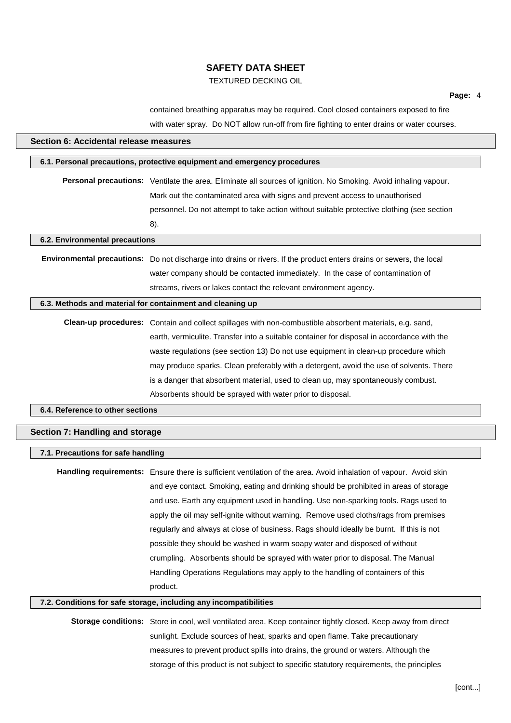# TEXTURED DECKING OIL

contained breathing apparatus may be required. Cool closed containers exposed to fire with water spray. Do NOT allow run-off from fire fighting to enter drains or water courses.

| Section 6: Accidental release measures |                                                                                                                      |  |  |  |  |
|----------------------------------------|----------------------------------------------------------------------------------------------------------------------|--|--|--|--|
|                                        | 6.1. Personal precautions, protective equipment and emergency procedures                                             |  |  |  |  |
|                                        | Personal precautions: Ventilate the area. Eliminate all sources of ignition. No Smoking. Avoid inhaling vapour.      |  |  |  |  |
|                                        | Mark out the contaminated area with signs and prevent access to unauthorised                                         |  |  |  |  |
|                                        | personnel. Do not attempt to take action without suitable protective clothing (see section                           |  |  |  |  |
|                                        | 8).                                                                                                                  |  |  |  |  |
| 6.2. Environmental precautions         |                                                                                                                      |  |  |  |  |
|                                        |                                                                                                                      |  |  |  |  |
|                                        | Environmental precautions: Do not discharge into drains or rivers. If the product enters drains or sewers, the local |  |  |  |  |
|                                        | water company should be contacted immediately. In the case of contamination of                                       |  |  |  |  |
|                                        | streams, rivers or lakes contact the relevant environment agency.                                                    |  |  |  |  |
|                                        | 6.3. Methods and material for containment and cleaning up                                                            |  |  |  |  |
|                                        | Clean-up procedures: Contain and collect spillages with non-combustible absorbent materials, e.g. sand,              |  |  |  |  |
|                                        | earth, vermiculite. Transfer into a suitable container for disposal in accordance with the                           |  |  |  |  |
|                                        | waste regulations (see section 13) Do not use equipment in clean-up procedure which                                  |  |  |  |  |
|                                        | may produce sparks. Clean preferably with a detergent, avoid the use of solvents. There                              |  |  |  |  |
|                                        | is a danger that absorbent material, used to clean up, may spontaneously combust.                                    |  |  |  |  |
|                                        | Absorbents should be sprayed with water prior to disposal.                                                           |  |  |  |  |
| 6.4. Reference to other sections       |                                                                                                                      |  |  |  |  |
| Section 7: Handling and storage        |                                                                                                                      |  |  |  |  |
| 7.1. Precautions for safe handling     |                                                                                                                      |  |  |  |  |
|                                        | Handling requirements: Ensure there is sufficient ventilation of the area. Avoid inhalation of vapour. Avoid skin    |  |  |  |  |
|                                        | and eye contact. Smoking, eating and drinking should be prohibited in areas of storage                               |  |  |  |  |
|                                        | and use. Earth any equipment used in handling. Use non-sparking tools. Rags used to                                  |  |  |  |  |
|                                        | apply the oil may self-ignite without warning. Remove used cloths/rags from premises                                 |  |  |  |  |
|                                        | regularly and always at close of business. Rags should ideally be burnt. If this is not                              |  |  |  |  |
|                                        | possible they should be washed in warm soapy water and disposed of without                                           |  |  |  |  |
|                                        | crumpling. Absorbents should be sprayed with water prior to disposal. The Manual                                     |  |  |  |  |
|                                        | Handling Operations Regulations may apply to the handling of containers of this                                      |  |  |  |  |
|                                        | product.                                                                                                             |  |  |  |  |
|                                        |                                                                                                                      |  |  |  |  |
|                                        | 7.2. Conditions for safe storage, including any incompatibilities                                                    |  |  |  |  |
|                                        | Storage conditions: Store in cool, well ventilated area. Keep container tightly closed. Keep away from direct        |  |  |  |  |
|                                        | unlight. Evalude courses of best, sperks and enen flame. Take presquitienant                                         |  |  |  |  |

sunlight. Exclude sources of heat, sparks and open flame. Take precautionary measures to prevent product spills into drains, the ground or waters. Although the storage of this product is not subject to specific statutory requirements, the principles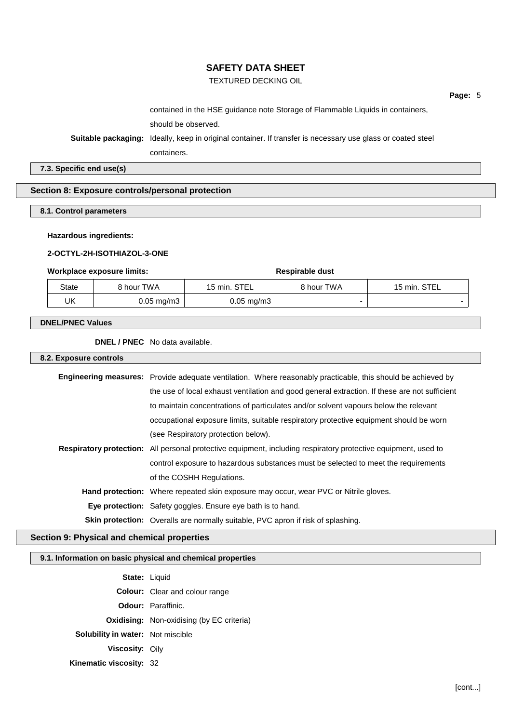# TEXTURED DECKING OIL

contained in the HSE guidance note Storage of Flammable Liquids in containers, should be observed.

**Suitable packaging:** Ideally, keep in original container. If transfer is necessary use glass or coated steel

containers.

### **7.3. Specific end use(s)**

## **Section 8: Exposure controls/personal protection**

# **8.1. Control parameters**

#### **Hazardous ingredients:**

#### **2-OCTYL-2H-ISOTHIAZOL-3-ONE**

#### **Workplace** exposure limits: **Respirable** dust

| State | 8 hour TWA              | 15 min. STEL            | 8 hour TWA | 15 min. STEL |
|-------|-------------------------|-------------------------|------------|--------------|
| UK    | $0.05 \,\mathrm{mg/m3}$ | $0.05 \,\mathrm{mq/m3}$ |            |              |

#### **DNEL/PNEC Values**

**DNEL / PNEC** No data available.

#### **8.2. Exposure controls**

| Engineering measures: Provide adequate ventilation. Where reasonably practicable, this should be achieved by          |
|-----------------------------------------------------------------------------------------------------------------------|
| the use of local exhaust ventilation and good general extraction. If these are not sufficient                         |
| to maintain concentrations of particulates and/or solvent vapours below the relevant                                  |
| occupational exposure limits, suitable respiratory protective equipment should be worn                                |
| (see Respiratory protection below).                                                                                   |
| <b>Respiratory protection:</b> All personal protective equipment, including respiratory protective equipment, used to |
| control exposure to hazardous substances must be selected to meet the requirements                                    |
| of the COSHH Regulations.                                                                                             |
| <b>Hand protection:</b> Where repeated skin exposure may occur, wear PVC or Nitrile gloves.                           |
| <b>Eye protection:</b> Safety goggles. Ensure eye bath is to hand.                                                    |
|                                                                                                                       |

**Skin protection:** Overalls are normally suitable, PVC apron if risk of splashing.

### **Section 9: Physical and chemical properties**

### **9.1. Information on basic physical and chemical properties**

**State:** Liquid **Colour:** Clear and colour range **Odour:** Paraffinic. **Oxidising:** Non-oxidising (by EC criteria) **Solubility in water:** Not miscible **Viscosity:** Oily **Kinematic viscosity:** 32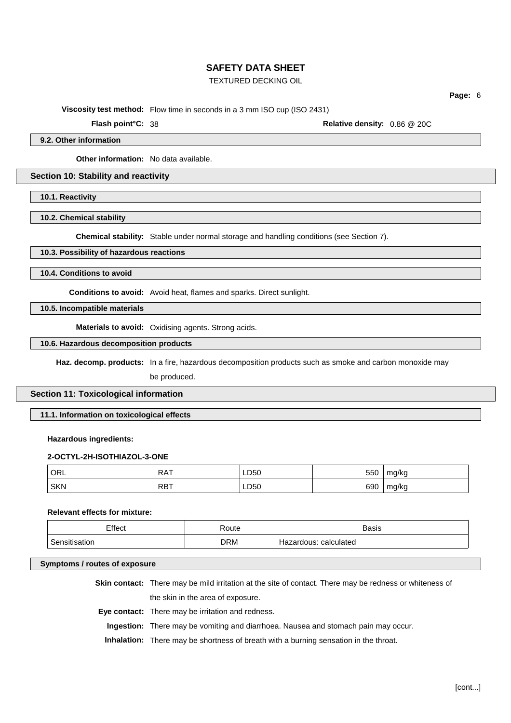# TEXTURED DECKING OIL

**Viscosity test method:** Flow time in seconds in a 3 mm ISO cup (ISO 2431)

**Flash point°C:** 38 **Relative density:** 0.86 @ 20C

**Page:** 6

**9.2. Other information**

**Other information:** No data available.

**Section 10: Stability and reactivity**

**10.1. Reactivity**

**10.2. Chemical stability**

**Chemical stability:** Stable under normal storage and handling conditions (see Section 7).

#### **10.3. Possibility of hazardous reactions**

**10.4. Conditions to avoid**

**Conditions to avoid:** Avoid heat, flames and sparks. Direct sunlight.

**10.5. Incompatible materials**

**Materials to avoid:** Oxidising agents. Strong acids.

**10.6. Hazardous decomposition products**

**Haz. decomp. products:** In a fire, hazardous decomposition products such as smoke and carbon monoxide may

be produced.

### **Section 11: Toxicological information**

**11.1. Information on toxicological effects**

# **Hazardous ingredients:**

#### **2-OCTYL-2H-ISOTHIAZOL-3-ONE**

| ORL        | <b>RAT</b> | LD50 | 550 | mg/kg |
|------------|------------|------|-----|-------|
| <b>SKN</b> | <b>RBT</b> | LD50 | 690 | mg/kg |

# **Relevant effects for mixture:**

| Effect        | Route | <b>Basis</b>          |
|---------------|-------|-----------------------|
| Sensitisation | DRM   | Hazardous: calculated |

#### **Symptoms / routes of exposure**

**Skin contact:** There may be mild irritation at the site of contact. There may be redness or whiteness of the skin in the area of exposure.

**Eye contact:** There may be irritation and redness.

**Ingestion:** There may be vomiting and diarrhoea. Nausea and stomach pain may occur.

**Inhalation:** There may be shortness of breath with a burning sensation in the throat.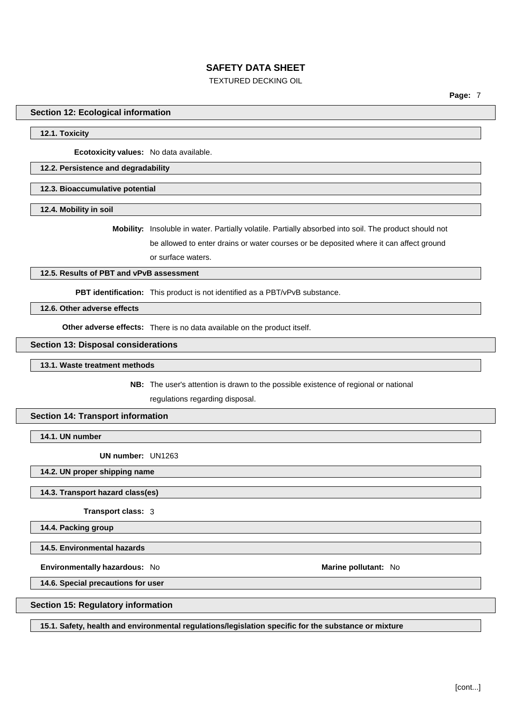# TEXTURED DECKING OIL

**Page:** 7

#### **Section 12: Ecological information**

### **12.1. Toxicity**

**Ecotoxicity values:** No data available.

#### **12.2. Persistence and degradability**

**12.3. Bioaccumulative potential**

**12.4. Mobility in soil**

**Mobility:** Insoluble in water. Partially volatile. Partially absorbed into soil. The product should not be allowed to enter drains or water courses or be deposited where it can affect ground or surface waters.

#### **12.5. Results of PBT and vPvB assessment**

**PBT identification:** This product is not identified as a PBT/vPvB substance.

# **12.6. Other adverse effects**

**Other adverse effects:** There is no data available on the product itself.

#### **Section 13: Disposal considerations**

#### **13.1. Waste treatment methods**

**NB:** The user's attention is drawn to the possible existence of regional or national

regulations regarding disposal.

### **Section 14: Transport information**

**14.1. UN number**

**UN number:** UN1263

#### **14.2. UN proper shipping name**

#### **14.3. Transport hazard class(es)**

**Transport class:** 3

**14.4. Packing group**

**14.5. Environmental hazards**

**Environmentally hazardous:** No **Marine pollutant:** No

**14.6. Special precautions for user**

#### **Section 15: Regulatory information**

**15.1. Safety, health and environmental regulations/legislation specific for the substance or mixture**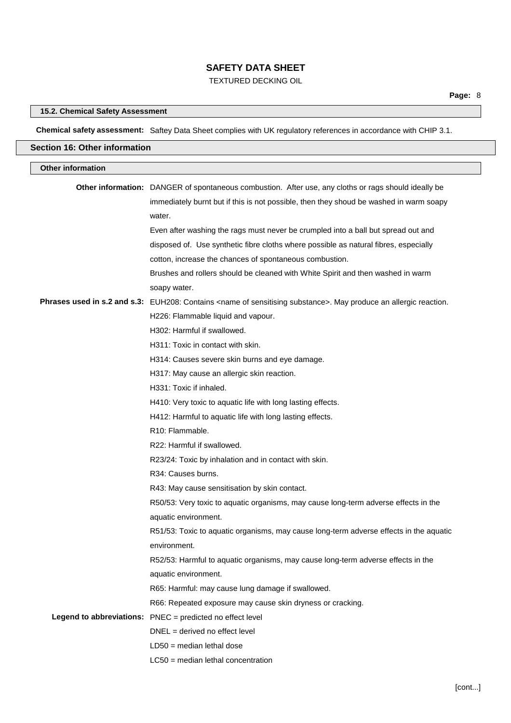# TEXTURED DECKING OIL

# **Page:** 8 **15.2. Chemical Safety Assessment Chemical safety assessment:** Saftey Data Sheet complies with UK regulatory references in accordance with CHIP 3.1. **Section 16: Other information Other information Other information:** DANGER of spontaneous combustion. After use, any cloths or rags should ideally be immediately burnt but if this is not possible, then they shoud be washed in warm soapy water. Even after washing the rags must never be crumpled into a ball but spread out and disposed of. Use synthetic fibre cloths where possible as natural fibres, especially cotton, increase the chances of spontaneous combustion. Brushes and rollers should be cleaned with White Spirit and then washed in warm soapy water. **Phrases used in s.2 and s.3:** EUH208: Contains <name of sensitising substance>. May produce an allergic reaction. H226: Flammable liquid and vapour. H302: Harmful if swallowed. H311: Toxic in contact with skin. H314: Causes severe skin burns and eye damage. H317: May cause an allergic skin reaction. H331: Toxic if inhaled. H410: Very toxic to aquatic life with long lasting effects. H412: Harmful to aquatic life with long lasting effects. R10: Flammable. R22: Harmful if swallowed. R23/24: Toxic by inhalation and in contact with skin. R34: Causes burns. R43: May cause sensitisation by skin contact. R50/53: Very toxic to aquatic organisms, may cause long-term adverse effects in the aquatic environment. R51/53: Toxic to aquatic organisms, may cause long-term adverse effects in the aquatic environment. R52/53: Harmful to aquatic organisms, may cause long-term adverse effects in the

aquatic environment.

R65: Harmful: may cause lung damage if swallowed.

R66: Repeated exposure may cause skin dryness or cracking.

**Legend to abbreviations:** PNEC = predicted no effect level

DNEL = derived no effect level

- LD50 = median lethal dose
- LC50 = median lethal concentration